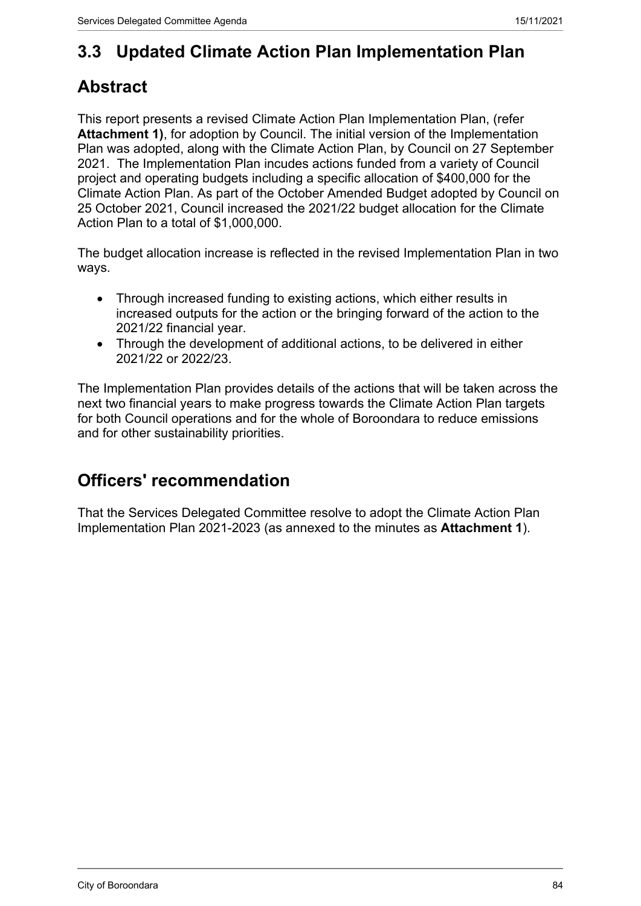# **3.3 Updated Climate Action Plan Implementation Plan**

## **Abstract**

This report presents a revised Climate Action Plan Implementation Plan, (refer **Attachment 1)**, for adoption by Council. The initial version of the Implementation Plan was adopted, along with the Climate Action Plan, by Council on 27 September 2021. The Implementation Plan incudes actions funded from a variety of Council project and operating budgets including a specific allocation of \$400,000 for the Climate Action Plan. As part of the October Amended Budget adopted by Council on 25 October 2021, Council increased the 2021/22 budget allocation for the Climate Action Plan to a total of \$1,000,000.

The budget allocation increase is reflected in the revised Implementation Plan in two ways.

- Through increased funding to existing actions, which either results in increased outputs for the action or the bringing forward of the action to the 2021/22 financial year.
- Through the development of additional actions, to be delivered in either 2021/22 or 2022/23.

The Implementation Plan provides details of the actions that will be taken across the next two financial years to make progress towards the Climate Action Plan targets for both Council operations and for the whole of Boroondara to reduce emissions and for other sustainability priorities.

## **Officers' recommendation**

That the Services Delegated Committee resolve to adopt the Climate Action Plan Implementation Plan 2021-2023 (as annexed to the minutes as **Attachment 1**).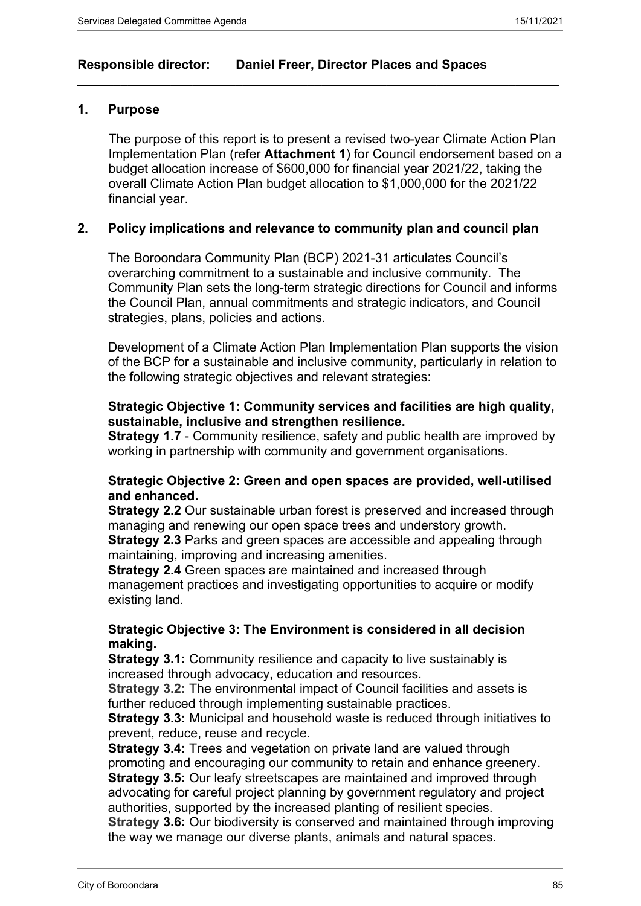### **Responsible director: Daniel Freer, Director Places and Spaces**

### **1. Purpose**

The purpose of this report is to present a revised two-year Climate Action Plan Implementation Plan (refer **Attachment 1**) for Council endorsement based on a budget allocation increase of \$600,000 for financial year 2021/22, taking the overall Climate Action Plan budget allocation to \$1,000,000 for the 2021/22 financial year.

 $\_$  , and the set of the set of the set of the set of the set of the set of the set of the set of the set of the set of the set of the set of the set of the set of the set of the set of the set of the set of the set of th

### **2. Policy implications and relevance to community plan and council plan**

The Boroondara Community Plan (BCP) 2021-31 articulates Council's overarching commitment to a sustainable and inclusive community. The Community Plan sets the long-term strategic directions for Council and informs the Council Plan, annual commitments and strategic indicators, and Council strategies, plans, policies and actions.

Development of a Climate Action Plan Implementation Plan supports the vision of the BCP for a sustainable and inclusive community, particularly in relation to the following strategic objectives and relevant strategies:

### **Strategic Objective 1: Community services and facilities are high quality, sustainable, inclusive and strengthen resilience.**

**Strategy 1.7** - Community resilience, safety and public health are improved by working in partnership with community and government organisations.

### **Strategic Objective 2: Green and open spaces are provided, well-utilised and enhanced.**

**Strategy 2.2** Our sustainable urban forest is preserved and increased through managing and renewing our open space trees and understory growth.

**Strategy 2.3** Parks and green spaces are accessible and appealing through maintaining, improving and increasing amenities.

**Strategy 2.4** Green spaces are maintained and increased through management practices and investigating opportunities to acquire or modify existing land.

### **Strategic Objective 3: The Environment is considered in all decision making.**

**Strategy 3.1:** Community resilience and capacity to live sustainably is increased through advocacy, education and resources.

**Strategy 3.2:** The environmental impact of Council facilities and assets is further reduced through implementing sustainable practices.

**Strategy 3.3:** Municipal and household waste is reduced through initiatives to prevent, reduce, reuse and recycle.

**Strategy 3.4:** Trees and vegetation on private land are valued through promoting and encouraging our community to retain and enhance greenery. **Strategy 3.5:** Our leafy streetscapes are maintained and improved through advocating for careful project planning by government regulatory and project authorities, supported by the increased planting of resilient species.

**Strategy 3.6:** Our biodiversity is conserved and maintained through improving the way we manage our diverse plants, animals and natural spaces.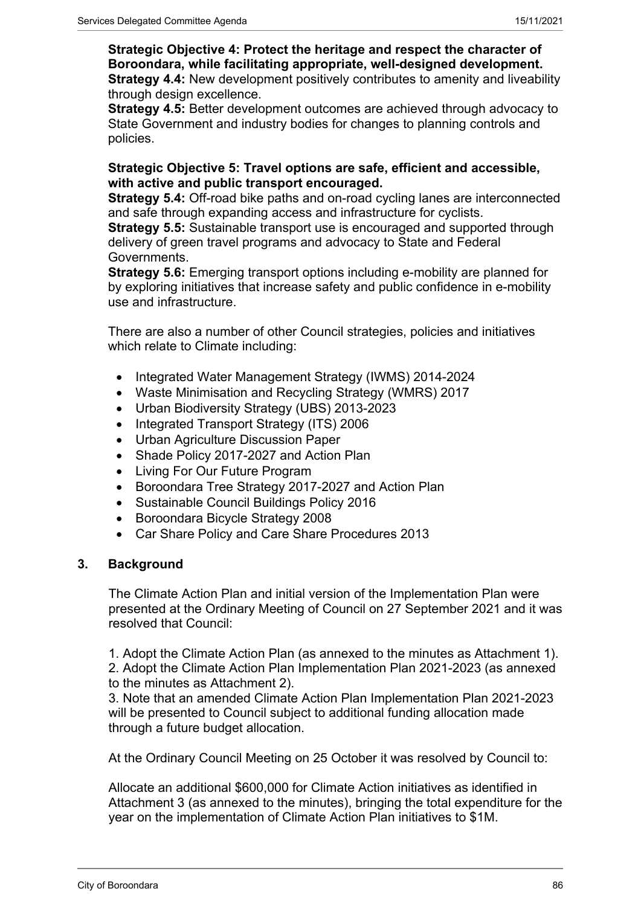**Strategic Objective 4: Protect the heritage and respect the character of Boroondara, while facilitating appropriate, well-designed development. Strategy 4.4:** New development positively contributes to amenity and liveability through design excellence.

**Strategy 4.5:** Better development outcomes are achieved through advocacy to State Government and industry bodies for changes to planning controls and policies.

### **Strategic Objective 5: Travel options are safe, efficient and accessible, with active and public transport encouraged.**

**Strategy 5.4:** Off-road bike paths and on-road cycling lanes are interconnected and safe through expanding access and infrastructure for cyclists.

**Strategy 5.5:** Sustainable transport use is encouraged and supported through delivery of green travel programs and advocacy to State and Federal Governments.

**Strategy 5.6:** Emerging transport options including e-mobility are planned for by exploring initiatives that increase safety and public confidence in e-mobility use and infrastructure.

There are also a number of other Council strategies, policies and initiatives which relate to Climate including:

- Integrated Water Management Strategy (IWMS) 2014-2024
- Waste Minimisation and Recycling Strategy (WMRS) 2017
- Urban Biodiversity Strategy (UBS) 2013-2023
- Integrated Transport Strategy (ITS) 2006
- Urban Agriculture Discussion Paper
- Shade Policy 2017-2027 and Action Plan
- Living For Our Future Program
- Boroondara Tree Strategy 2017-2027 and Action Plan
- Sustainable Council Buildings Policy 2016
- Boroondara Bicycle Strategy 2008
- Car Share Policy and Care Share Procedures 2013

### **3. Background**

The Climate Action Plan and initial version of the Implementation Plan were presented at the Ordinary Meeting of Council on 27 September 2021 and it was resolved that Council:

1. Adopt the Climate Action Plan (as annexed to the minutes as Attachment 1). 2. Adopt the Climate Action Plan Implementation Plan 2021-2023 (as annexed to the minutes as Attachment 2).

3. Note that an amended Climate Action Plan Implementation Plan 2021-2023 will be presented to Council subject to additional funding allocation made through a future budget allocation.

At the Ordinary Council Meeting on 25 October it was resolved by Council to:

Allocate an additional \$600,000 for Climate Action initiatives as identified in Attachment 3 (as annexed to the minutes), bringing the total expenditure for the year on the implementation of Climate Action Plan initiatives to \$1M.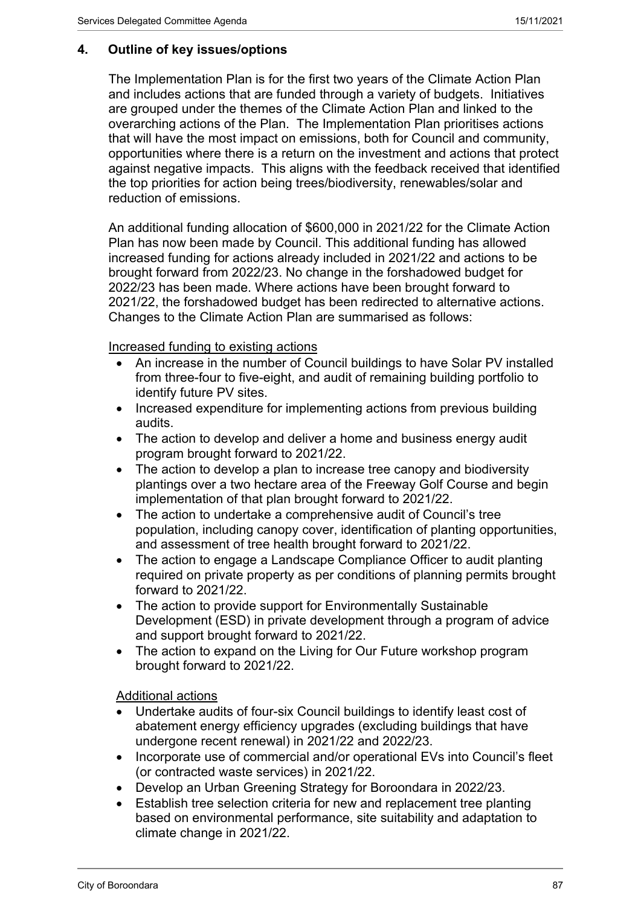### **4. Outline of key issues/options**

The Implementation Plan is for the first two years of the Climate Action Plan and includes actions that are funded through a variety of budgets. Initiatives are grouped under the themes of the Climate Action Plan and linked to the overarching actions of the Plan. The Implementation Plan prioritises actions that will have the most impact on emissions, both for Council and community, opportunities where there is a return on the investment and actions that protect against negative impacts. This aligns with the feedback received that identified the top priorities for action being trees/biodiversity, renewables/solar and reduction of emissions.

An additional funding allocation of \$600,000 in 2021/22 for the Climate Action Plan has now been made by Council. This additional funding has allowed increased funding for actions already included in 2021/22 and actions to be brought forward from 2022/23. No change in the forshadowed budget for 2022/23 has been made. Where actions have been brought forward to 2021/22, the forshadowed budget has been redirected to alternative actions. Changes to the Climate Action Plan are summarised as follows:

Increased funding to existing actions

- An increase in the number of Council buildings to have Solar PV installed from three-four to five-eight, and audit of remaining building portfolio to identify future PV sites.
- Increased expenditure for implementing actions from previous building audits.
- The action to develop and deliver a home and business energy audit program brought forward to 2021/22.
- The action to develop a plan to increase tree canopy and biodiversity plantings over a two hectare area of the Freeway Golf Course and begin implementation of that plan brought forward to 2021/22.
- The action to undertake a comprehensive audit of Council's tree population, including canopy cover, identification of planting opportunities, and assessment of tree health brought forward to 2021/22.
- The action to engage a Landscape Compliance Officer to audit planting required on private property as per conditions of planning permits brought forward to 2021/22.
- The action to provide support for Environmentally Sustainable Development (ESD) in private development through a program of advice and support brought forward to 2021/22.
- The action to expand on the Living for Our Future workshop program brought forward to 2021/22.

Additional actions

- Undertake audits of four-six Council buildings to identify least cost of abatement energy efficiency upgrades (excluding buildings that have undergone recent renewal) in 2021/22 and 2022/23.
- Incorporate use of commercial and/or operational EVs into Council's fleet (or contracted waste services) in 2021/22.
- Develop an Urban Greening Strategy for Boroondara in 2022/23.
- Establish tree selection criteria for new and replacement tree planting based on environmental performance, site suitability and adaptation to climate change in 2021/22.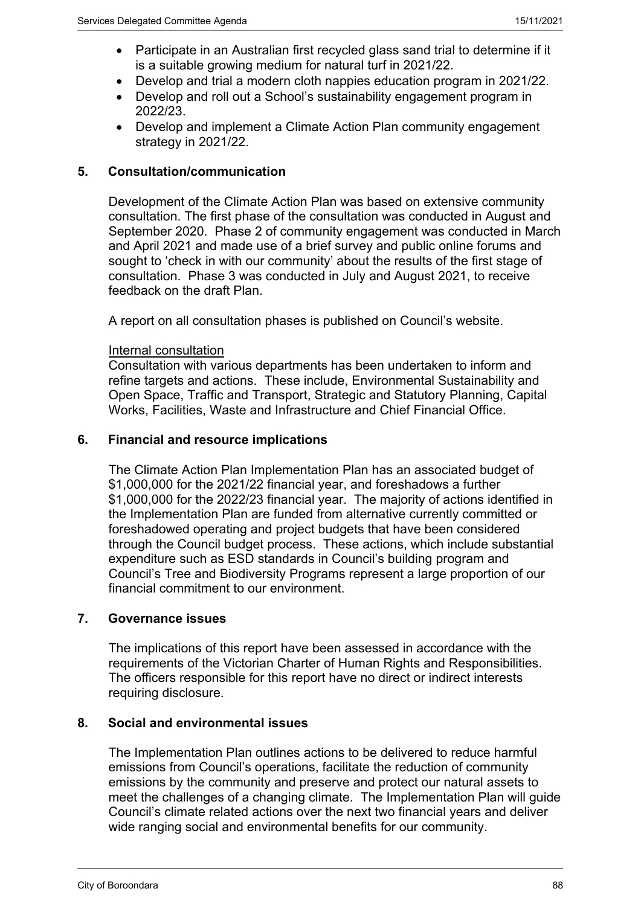- Participate in an Australian first recycled glass sand trial to determine if it is a suitable growing medium for natural turf in 2021/22.
- Develop and trial a modern cloth nappies education program in 2021/22.
- Develop and roll out a School's sustainability engagement program in 2022/23.
- Develop and implement a Climate Action Plan community engagement strategy in 2021/22.

### **5. Consultation/communication**

Development of the Climate Action Plan was based on extensive community consultation. The first phase of the consultation was conducted in August and September 2020. Phase 2 of community engagement was conducted in March and April 2021 and made use of a brief survey and public online forums and sought to 'check in with our community' about the results of the first stage of consultation. Phase 3 was conducted in July and August 2021, to receive feedback on the draft Plan.

A report on all consultation phases is published on Council's website.

### Internal consultation

Consultation with various departments has been undertaken to inform and refine targets and actions. These include, Environmental Sustainability and Open Space, Traffic and Transport, Strategic and Statutory Planning, Capital Works, Facilities, Waste and Infrastructure and Chief Financial Office.

### **6. Financial and resource implications**

The Climate Action Plan Implementation Plan has an associated budget of \$1,000,000 for the 2021/22 financial year, and foreshadows a further \$1,000,000 for the 2022/23 financial year. The majority of actions identified in the Implementation Plan are funded from alternative currently committed or foreshadowed operating and project budgets that have been considered through the Council budget process. These actions, which include substantial expenditure such as ESD standards in Council's building program and Council's Tree and Biodiversity Programs represent a large proportion of our financial commitment to our environment.

### **7. Governance issues**

The implications of this report have been assessed in accordance with the requirements of the Victorian Charter of Human Rights and Responsibilities. The officers responsible for this report have no direct or indirect interests requiring disclosure.

### **8. Social and environmental issues**

The Implementation Plan outlines actions to be delivered to reduce harmful emissions from Council's operations, facilitate the reduction of community emissions by the community and preserve and protect our natural assets to meet the challenges of a changing climate. The Implementation Plan will guide Council's climate related actions over the next two financial years and deliver wide ranging social and environmental benefits for our community.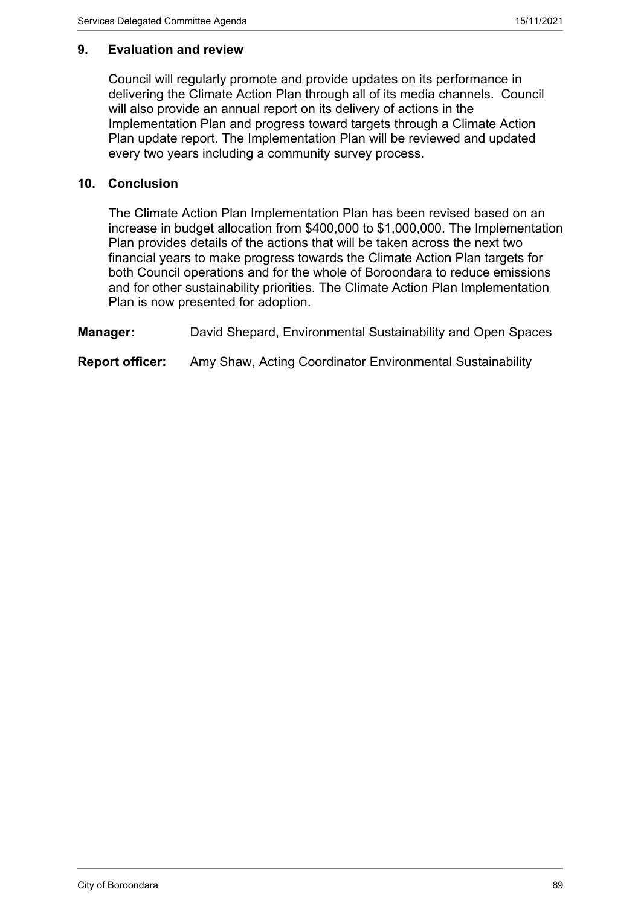### **9. Evaluation and review**

Council will regularly promote and provide updates on its performance in delivering the Climate Action Plan through all of its media channels. Council will also provide an annual report on its delivery of actions in the Implementation Plan and progress toward targets through a Climate Action Plan update report. The Implementation Plan will be reviewed and updated every two years including a community survey process.

### **10. Conclusion**

The Climate Action Plan Implementation Plan has been revised based on an increase in budget allocation from \$400,000 to \$1,000,000. The Implementation Plan provides details of the actions that will be taken across the next two financial years to make progress towards the Climate Action Plan targets for both Council operations and for the whole of Boroondara to reduce emissions and for other sustainability priorities. The Climate Action Plan Implementation Plan is now presented for adoption.

**Manager:** David Shepard, Environmental Sustainability and Open Spaces

**Report officer:** Amy Shaw, Acting Coordinator Environmental Sustainability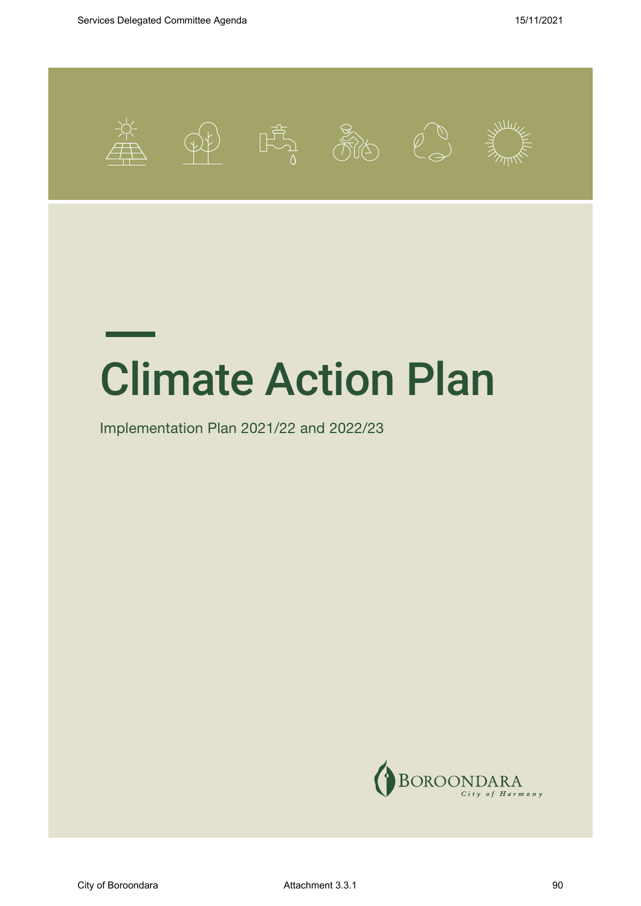

# Climate Action Plan

Implementation Plan 2021/22 and 2022/23



City of Boroondara and a set of Attachment 3.3.1 and 3.3.1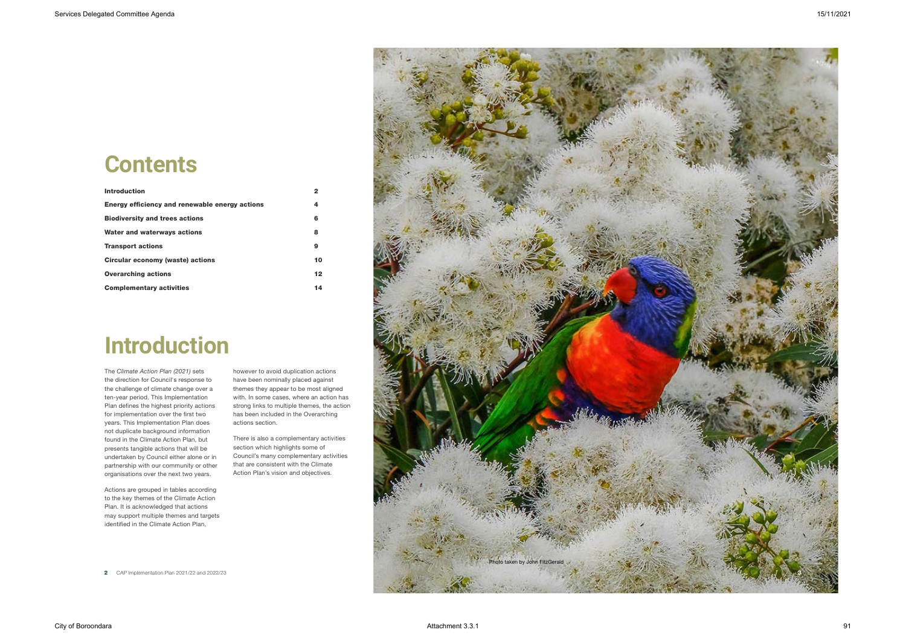# **Introduction**

The *Climate Action Plan (2021)* sets the direction for Council's response to the challenge of climate change over a ten-year period. This Implementation Plan defines the highest priority actions for implementation over the first two years. This Implementation Plan does not duplicate background information found in the Climate Action Plan, but presents tangible actions that will be undertaken by Council either alone or in partnership with our community or other organisations over the next two years.

| <b>Introduction</b>                            | 2               |
|------------------------------------------------|-----------------|
| Energy efficiency and renewable energy actions | 4               |
| <b>Biodiversity and trees actions</b>          | 6               |
| Water and waterways actions                    | 8               |
| <b>Transport actions</b>                       | 9               |
| Circular economy (waste) actions               | 10              |
| <b>Overarching actions</b>                     | 12 <sub>2</sub> |
| <b>Complementary activities</b>                | 14              |

Actions are grouped in tables according to the key themes of the Climate Action Plan. It is acknowledged that actions may support multiple themes and targets identified in the Climate Action Plan,

however to avoid duplication actions have been nominally placed against themes they appear to be most aligned with. In some cases, where an action has strong links to multiple themes, the action has been included in the Overarching actions section.

There is also a complementary activities section which highlights some of Council's many complementary activities that are consistent with the Climate Action Plan's vision and objectives.

# **Contents**



**2** CAP Implementation Plan 2021/22 and 2022/23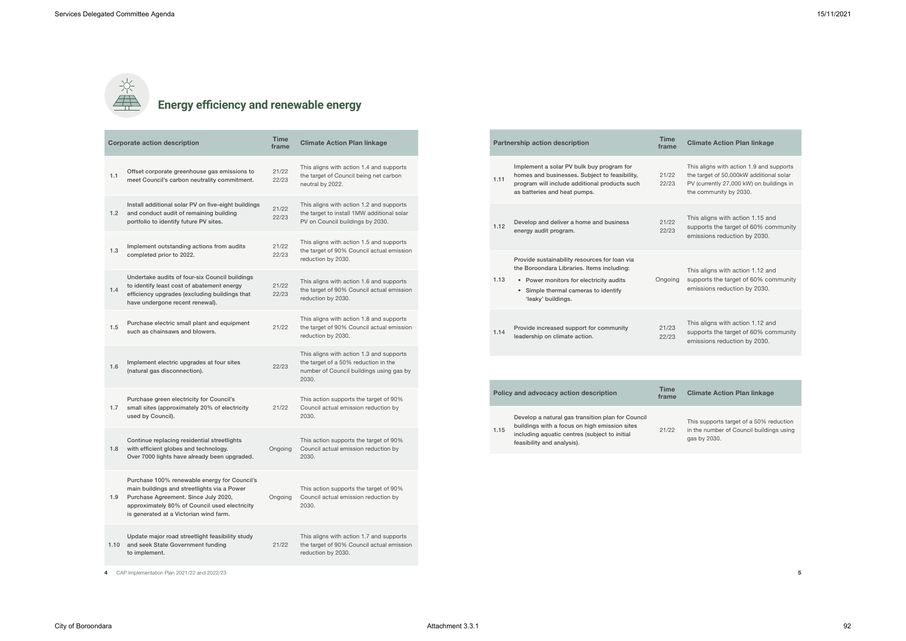# **Energy efficiency and renewable energy**

|     | <b>Corporate action description</b>                                                                                                                                                                                            | <b>Time</b><br>frame | <b>Climate Action Plan linkage</b>                                                                                                    |
|-----|--------------------------------------------------------------------------------------------------------------------------------------------------------------------------------------------------------------------------------|----------------------|---------------------------------------------------------------------------------------------------------------------------------------|
| 1.1 | Offset corporate greenhouse gas emissions to<br>meet Council's carbon neutrality commitment.                                                                                                                                   | 21/22<br>22/23       | This aligns with action 1.4 and supports<br>the target of Council being net carbon<br>neutral by 2022.                                |
|     | Install additional solar PV on five-eight buildings<br>1.2 and conduct audit of remaining building<br>portfolio to identify future PV sites.                                                                                   | 21/22<br>22/23       | This aligns with action 1.2 and supports<br>the target to install 1MW additional solar<br>PV on Council buildings by 2030.            |
| 1.3 | Implement outstanding actions from audits<br>completed prior to 2022.                                                                                                                                                          | 21/22<br>22/23       | This aligns with action 1.5 and supports<br>the target of 90% Council actual emission<br>reduction by 2030.                           |
| 1.4 | Undertake audits of four-six Council buildings<br>to identify least cost of abatement energy<br>efficiency upgrades (excluding buildings that<br>have undergone recent renewal).                                               | 21/22<br>22/23       | This aligns with action 1.6 and supports<br>the target of 90% Council actual emission<br>reduction by 2030.                           |
| 1.5 | Purchase electric small plant and equipment<br>such as chainsaws and blowers.                                                                                                                                                  | 21/22                | This aligns with action 1.8 and supports<br>the target of 90% Council actual emission<br>reduction by 2030.                           |
| 1.6 | Implement electric upgrades at four sites<br>(natural gas disconnection).                                                                                                                                                      | 22/23                | This aligns with action 1.3 and supports<br>the target of a 50% reduction in the<br>number of Council buildings using gas by<br>2030. |
| 1.7 | Purchase green electricity for Council's<br>small sites (approximately 20% of electricity                                                                                                                                      | 21/22                | This action supports the target of 90%<br>Council actual emission reduction by                                                        |
|     | used by Council).                                                                                                                                                                                                              |                      | 2030.                                                                                                                                 |
| 1.8 | Continue replacing residential streetlights<br>with efficient globes and technology.<br>Over 7000 lights have already been upgraded.                                                                                           | Ongoing              | This action supports the target of 90%<br>Council actual emission reduction by<br>2030.                                               |
| 1.9 | Purchase 100% renewable energy for Council's<br>main buildings and streetlights via a Power<br>Purchase Agreement. Since July 2020,<br>approximately 80% of Council used electricity<br>is generated at a Victorian wind farm. | Ongoing              | This action supports the target of 90%<br>Council actual emission reduction by<br>2030.                                               |
|     | Update major road streetlight feasibility study<br>1.10 and seek State Government funding<br>to implement.                                                                                                                     | 21/22                | This aligns with action 1.7 and supports<br>the target of 90% Council actual emission<br>reduction by 2030.                           |
| 4   | CAP Implementation Plan 2021/22 and 2022/23                                                                                                                                                                                    |                      |                                                                                                                                       |

|      | <b>Partnership action description</b>                                                                                                                                                                | <b>Time</b><br>frame |
|------|------------------------------------------------------------------------------------------------------------------------------------------------------------------------------------------------------|----------------------|
| 1.11 | Implement a solar PV bulk buy program for<br>homes and businesses. Subject to feasibility,<br>program will include additional products such<br>as batteries and heat pumps.                          | 21/22<br>22/23       |
| 1.12 | Develop and deliver a home and business<br>energy audit program.                                                                                                                                     | 21/22<br>22/23       |
| 1.13 | Provide sustainability resources for loan via<br>the Boroondara Libraries. Items including:<br>• Power monitors for electricity audits<br>• Simple thermal cameras to identify<br>'leaky' buildings. | Ongoing              |
| 1.14 | Provide increased support for community<br>leadership on climate action.                                                                                                                             | 21/23<br>22/23       |
|      |                                                                                                                                                                                                      |                      |
|      | Policy and advocacy action description                                                                                                                                                               | <b>Time</b><br>frame |
| 1.15 | Develop a natural gas transition plan for Council<br>buildings with a focus on high emission sites<br>including aquatic centres (subject to initial<br>feasibility and analysis).                    | 21/22                |

### **Climate Action Plan linkage**

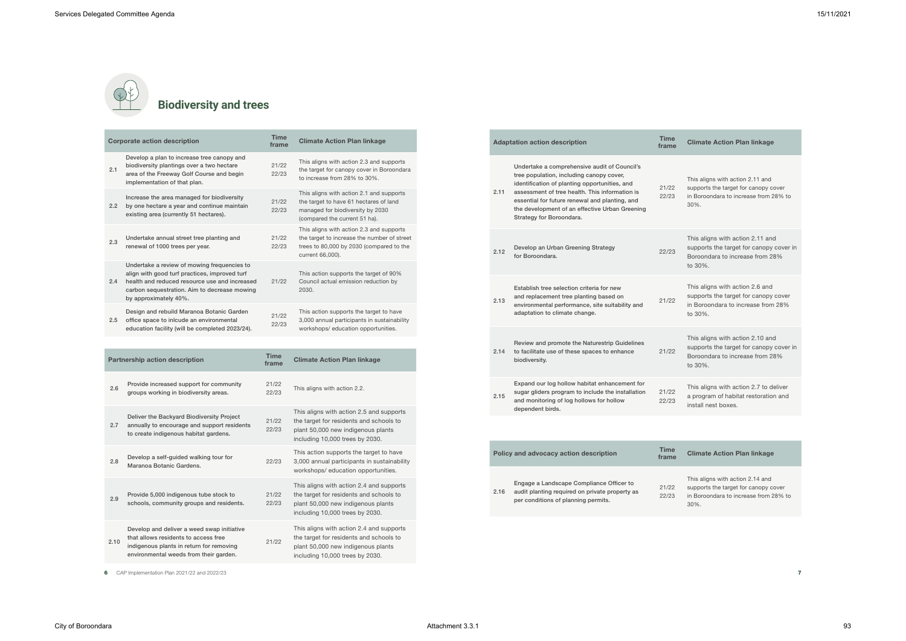# **Biodiversity and trees**

|     | <b>Corporate action description</b>                                                                                                                                                                                    | <b>Time</b><br>frame | <b>Climate Action Plan linkage</b>                                                                                                                      |
|-----|------------------------------------------------------------------------------------------------------------------------------------------------------------------------------------------------------------------------|----------------------|---------------------------------------------------------------------------------------------------------------------------------------------------------|
| 2.1 | Develop a plan to increase tree canopy and<br>biodiversity plantings over a two hectare<br>area of the Freeway Golf Course and begin<br>implementation of that plan.                                                   | 21/22<br>22/23       | This aligns with action 2.3 and supports<br>the target for canopy cover in Boroondara<br>to increase from 28% to 30%.                                   |
| 2.2 | Increase the area managed for biodiversity<br>by one hectare a year and continue maintain<br>existing area (currently 51 hectares).                                                                                    | 21/22<br>22/23       | This aligns with action 2.1 and supports<br>the target to have 61 hectares of land<br>managed for biodiversity by 2030<br>(compared the current 51 ha). |
| 2.3 | Undertake annual street tree planting and<br>renewal of 1000 trees per year.                                                                                                                                           | 21/22<br>22/23       | This aligns with action 2.3 and supports<br>the target to increase the number of street<br>trees to 80,000 by 2030 (compared to the<br>current 66,000). |
| 2.4 | Undertake a review of mowing frequencies to<br>align with good turf practices, improved turf<br>health and reduced resource use and increased<br>carbon sequestration. Aim to decrease mowing<br>by approximately 40%. | 21/22                | This action supports the target of 90%<br>Council actual emission reduction by<br>2030.                                                                 |
| 2.5 | Design and rebuild Maranoa Botanic Garden<br>office space to inlcude an environmental<br>education facility (will be completed 2023/24).                                                                               | 21/22<br>22/23       | This action supports the target to have<br>3,000 annual participants in sustainability<br>workshops/education opportunities.                            |
|     |                                                                                                                                                                                                                        |                      |                                                                                                                                                         |
|     | <b>Partnership action description</b>                                                                                                                                                                                  | <b>Time</b><br>frame | <b>Climate Action Plan linkage</b>                                                                                                                      |

| 2.6  | Provide increased support for community<br>groups working in biodiversity areas.                                                                                         | 21/22<br>22/23 | This aligns with action 2.2.                                                                                                                                 |
|------|--------------------------------------------------------------------------------------------------------------------------------------------------------------------------|----------------|--------------------------------------------------------------------------------------------------------------------------------------------------------------|
| 2.7  | Deliver the Backyard Biodiversity Project<br>annually to encourage and support residents<br>to create indigenous habitat gardens.                                        | 21/22<br>22/23 | This aligns with action 2.5 and supports<br>the target for residents and schools to<br>plant 50,000 new indigenous plants<br>including 10,000 trees by 2030. |
| 2.8  | Develop a self-guided walking tour for<br>Maranoa Botanic Gardens.                                                                                                       | 22/23          | This action supports the target to have<br>3,000 annual participants in sustainability<br>workshops/education opportunities.                                 |
| 2.9  | Provide 5,000 indigenous tube stock to<br>schools, community groups and residents.                                                                                       | 21/22<br>22/23 | This aligns with action 2.4 and supports<br>the target for residents and schools to<br>plant 50,000 new indigenous plants<br>including 10,000 trees by 2030. |
| 2.10 | Develop and deliver a weed swap initiative<br>that allows residents to access free<br>indigenous plants in return for removing<br>environmental weeds from their garden. | 21/22          | This aligns with action 2.4 and supports<br>the target for residents and schools to<br>plant 50,000 new indigenous plants<br>including 10,000 trees by 2030. |

This aligns with action 2.11 and supports the target for canopy cover in Boroondara to increase from 28% to 30%.

This aligns with action 2.11 and supports the target for canopy cover in Boroondara to increase from 28% to 30%.

|  |      | <b>Adaptation action description</b>                                                                                                                                                                                                                                                                                        | <b>Time</b><br>frame |
|--|------|-----------------------------------------------------------------------------------------------------------------------------------------------------------------------------------------------------------------------------------------------------------------------------------------------------------------------------|----------------------|
|  | 2.11 | Undertake a comprehensive audit of Council's<br>tree population, including canopy cover,<br>identification of planting opportunities, and<br>assessment of tree health. This information is<br>essential for future renewal and planting, and<br>the development of an effective Urban Greening<br>Strategy for Boroondara. | 21/22<br>22/23       |
|  | 2.12 | Develop an Urban Greening Strategy<br>for Boroondara.                                                                                                                                                                                                                                                                       | 22/23                |
|  | 2.13 | Establish tree selection criteria for new<br>and replacement tree planting based on<br>environmental performance, site suitability and<br>adaptation to climate change.                                                                                                                                                     | 21/22                |
|  | 2.14 | Review and promote the Naturestrip Guidelines<br>to facilitate use of these spaces to enhance<br>biodiversity.                                                                                                                                                                                                              | 21/22                |
|  | 2.15 | Expand our log hollow habitat enhancement for<br>sugar gliders program to include the installation<br>and monitoring of log hollows for hollow<br>dependent birds.                                                                                                                                                          | 21/22<br>22/23       |
|  |      |                                                                                                                                                                                                                                                                                                                             |                      |
|  |      | Policy and advocacy action description                                                                                                                                                                                                                                                                                      | <b>Time</b><br>frame |
|  | 2.16 | Engage a Landscape Compliance Officer to<br>audit planting required on private property as<br>per conditions of planning permits.                                                                                                                                                                                           | 21/22<br>22/23       |

6 CAP Implementation Plan  $2021/22$  and  $2022/23$ 

This aligns with action 2.6 and supports the target for canopy cover in Boroondara to increase from 28% to 30%.

This aligns with action 2.10 and supports the target for canopy cover in Boroondara to increase from 28% to 30%.

This aligns with action 2.7 to deliver a program of habitat restoration and install nest boxes.

### **Climate Action Plan linkage**

This aligns with action 2.14 and supports the target for canopy cover in Boroondara to increase from 28% to 30%.

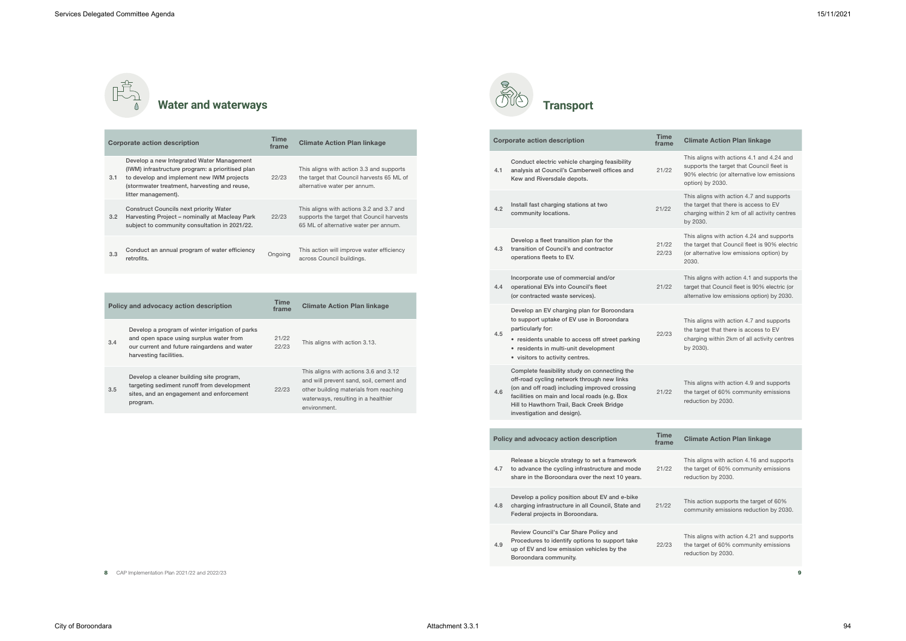### **Water and waterways**

This aligns with actions 4.1 and 4.24 and supports the target that Council fleet is 90% electric (or alternative low emissions option) by 2030.

This aligns with action 4.7 and supports the target that there is access to EV charging within 2 km of all activity centres by 2030.

This aligns with action 4.24 and supports the target that Council fleet is 90% electric (or alternative low emissions option) by 2030.

This action supports the target of 60% community emissions reduction by 2030.

This aligns with action 4.1 and supports the target that Council fleet is 90% electric (or alternative low emissions option) by 2030.

|     | <b>Corporate action description</b>                                                                                                                                                                               | <b>Time</b><br>frame | <b>Climate Action Plan linkage</b>                                                                                                                                                |
|-----|-------------------------------------------------------------------------------------------------------------------------------------------------------------------------------------------------------------------|----------------------|-----------------------------------------------------------------------------------------------------------------------------------------------------------------------------------|
| 3.1 | Develop a new Integrated Water Management<br>(IWM) infrastructure program: a prioritised plan<br>to develop and implement new IWM projects<br>(stormwater treatment, harvesting and reuse,<br>litter management). | 22/23                | This aligns with action 3.3 and supports<br>the target that Council harvests 65 ML of<br>alternative water per annum.                                                             |
| 3.2 | <b>Construct Councils next priority Water</b><br>Harvesting Project - nominally at Macleay Park<br>subject to community consultation in 2021/22.                                                                  | 22/23                | This aligns with actions 3.2 and 3.7 and<br>supports the target that Council harvests<br>65 ML of alternative water per annum.                                                    |
| 3.3 | Conduct an annual program of water efficiency<br>retrofits.                                                                                                                                                       | Ongoing              | This action will improve water efficiency<br>across Council buildings.                                                                                                            |
|     |                                                                                                                                                                                                                   |                      |                                                                                                                                                                                   |
|     | Policy and advocacy action description                                                                                                                                                                            | <b>Time</b><br>frame | <b>Climate Action Plan linkage</b>                                                                                                                                                |
| 3.4 | Develop a program of winter irrigation of parks<br>and open space using surplus water from<br>our current and future raingardens and water<br>harvesting facilities.                                              | 21/22<br>22/23       | This aligns with action 3.13.                                                                                                                                                     |
| 3.5 | Develop a cleaner building site program,<br>targeting sediment runoff from development<br>sites, and an engagement and enforcement<br>program.                                                                    | 22/23                | This aligns with actions 3.6 and 3.12<br>and will prevent sand, soil, cement and<br>other building materials from reaching<br>waterways, resulting in a healthier<br>environment. |



|     | <b>Corporate action description</b>                                                                                                                                                                                                                                    | <b>Time</b><br>frame |
|-----|------------------------------------------------------------------------------------------------------------------------------------------------------------------------------------------------------------------------------------------------------------------------|----------------------|
| 4.1 | Conduct electric vehicle charging feasibility<br>analysis at Council's Camberwell offices and<br>Kew and Riversdale depots.                                                                                                                                            | 21/22                |
| 4.2 | Install fast charging stations at two<br>community locations.                                                                                                                                                                                                          | 21/22                |
| 4.3 | Develop a fleet transition plan for the<br>transition of Council's and contractor<br>operations fleets to EV.                                                                                                                                                          | 21/22<br>22/23       |
| 4.4 | Incorporate use of commercial and/or<br>operational EVs into Council's fleet<br>(or contracted waste services).                                                                                                                                                        | 21/22                |
| 4.5 | Develop an EV charging plan for Boroondara<br>to support uptake of EV use in Boroondara<br>particularly for:<br>• residents unable to access off street parking<br>• residents in multi-unit development<br>• visitors to activity centres.                            | 22/23                |
| 4.6 | Complete feasibility study on connecting the<br>off-road cycling network through new links<br>(on and off road) including improved crossing<br>facilities on main and local roads (e.g. Box<br>Hill to Hawthorn Trail, Back Creek Bridge<br>investigation and design). | 21/22                |
|     |                                                                                                                                                                                                                                                                        |                      |
|     | Policy and advocacy action description                                                                                                                                                                                                                                 | <b>Time</b><br>frame |
| 4.7 | Release a bicycle strategy to set a framework<br>to advance the cycling infrastructure and mode<br>share in the Boroondara over the next 10 years.                                                                                                                     | 21/22                |
| 4.8 | Develop a policy position about EV and e-bike<br>charging infrastructure in all Council, State and<br>Federal projects in Boroondara.                                                                                                                                  | 21/22                |
| 4.9 | Review Council's Car Share Policy and<br>Procedures to identify options to support take<br>up of EV and low emission vehicles by the                                                                                                                                   | 22/23                |

This aligns with action 4.7 and supports the target that there is access to EV charging within 2km of all activity centres by 2030).

This aligns with action 4.9 and supports the target of 60% community emissions reduction by 2030.

### **Climate Action Plan linkage**

This aligns with action 4.16 and supports the target of 60% community emissions reduction by 2030.

Boroondara community.

8 CAP Implementation Plan 2021/22 and 2022/23  $\blacksquare$ 

This aligns with action 4.21 and supports the target of 60% community emissions reduction by 2030.

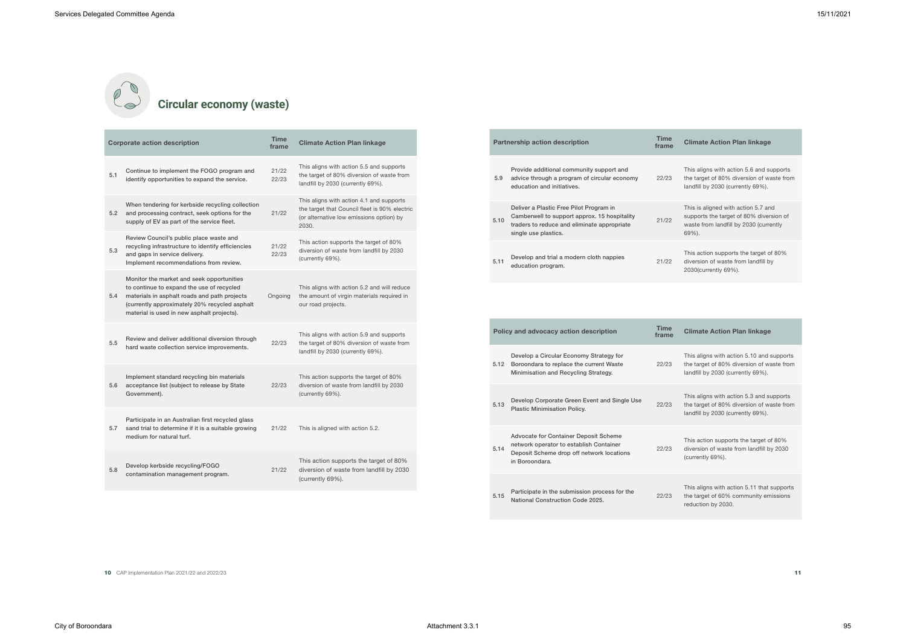## **Circular economy (waste)**

|     | <b>Corporate action description</b>                                                                                                                                                                                                   | <b>Time</b><br>frame | <b>Climate Action Plan linkage</b>                                                                                                             |
|-----|---------------------------------------------------------------------------------------------------------------------------------------------------------------------------------------------------------------------------------------|----------------------|------------------------------------------------------------------------------------------------------------------------------------------------|
| 5.1 | Continue to implement the FOGO program and<br>identify opportunities to expand the service.                                                                                                                                           | 21/22<br>22/23       | This aligns with action 5.5 and supports<br>the target of 80% diversion of waste from<br>landfill by 2030 (currently 69%).                     |
| 5.2 | When tendering for kerbside recycling collection<br>and processing contract, seek options for the<br>supply of EV as part of the service fleet.                                                                                       | 21/22                | This aligns with action 4.1 and supports<br>the target that Council fleet is 90% electric<br>(or alternative low emissions option) by<br>2030. |
| 5.3 | Review Council's public place waste and<br>recycling infrastructure to identify efficiencies<br>and gaps in service delivery.<br>Implement recommendations from review.                                                               | 21/22<br>22/23       | This action supports the target of 80%<br>diversion of waste from landfill by 2030<br>(currently 69%).                                         |
| 5.4 | Monitor the market and seek opportunities<br>to continue to expand the use of recycled<br>materials in asphalt roads and path projects<br>(currently approximately 20% recycled asphalt<br>material is used in new asphalt projects). | Ongoing              | This aligns with action 5.2 and will reduce<br>the amount of virgin materials required in<br>our road projects.                                |
| 5.5 | Review and deliver additional diversion through<br>hard waste collection service improvements.                                                                                                                                        | 22/23                | This aligns with action 5.9 and supports<br>the target of 80% diversion of waste from<br>landfill by 2030 (currently 69%).                     |
| 5.6 | Implement standard recycling bin materials<br>acceptance list (subject to release by State<br>Government).                                                                                                                            | 22/23                | This action supports the target of 80%<br>diversion of waste from landfill by 2030<br>(currently 69%).                                         |
| 5.7 | Participate in an Australian first recycled glass<br>sand trial to determine if it is a suitable growing<br>medium for natural turf.                                                                                                  | 21/22                | This is aligned with action 5.2.                                                                                                               |
| 5.8 | Develop kerbside recycling/FOGO<br>contamination management program.                                                                                                                                                                  | 21/22                | This action supports the target of 80%<br>diversion of waste from landfill by 2030<br>(currently 69%).                                         |

This aligns with action 5.10 and supports the target of 80% diversion of waste from landfill by 2030 (currently 69%).

|      | <b>Policy and advocacy action description</b>                                                                                                   | Time<br>frame |
|------|-------------------------------------------------------------------------------------------------------------------------------------------------|---------------|
| 5.12 | Develop a Circular Economy Strategy for<br>Boroondara to replace the current Waste<br>Minimisation and Recycling Strategy.                      | 22/23         |
| 5.13 | Develop Corporate Green Event and Single Use<br><b>Plastic Minimisation Policy.</b>                                                             | 22/23         |
| 5.14 | Advocate for Container Deposit Scheme<br>network operator to establish Container<br>Deposit Scheme drop off network locations<br>in Boroondara. | 22/23         |
| 5.15 | Participate in the submission process for the<br>National Construction Code 2025.                                                               | 22/23         |

**10** CAP Implementation Plan 2021/22 and 2022/23 **11** 

This aligns with action 5.3 and supports the target of 80% diversion of waste from landfill by 2030 (currently 69%).

This action supports the target of 80% diversion of waste from landfill by 2030 (currently 69%).

This aligns with action 5.11 that supports the target of 60% community emissions reduction by 2030.

This aligns with action 5.6 and supports the target of 80% diversion of waste from landfill by 2030 (currently 69%).

|      | <b>Partnership action description</b>                                                                                                                          | Time<br>frame |  |
|------|----------------------------------------------------------------------------------------------------------------------------------------------------------------|---------------|--|
| 5.9  | Provide additional community support and<br>advice through a program of circular economy<br>education and initiatives.                                         | 22/23         |  |
| 5.10 | Deliver a Plastic Free Pilot Program in<br>Camberwell to support approx. 15 hospitality<br>traders to reduce and eliminate appropriate<br>single use plastics. | 21/22         |  |
| 5.11 | Develop and trial a modern cloth nappies<br>education program.                                                                                                 | 21/22         |  |

This is aligned with action 5.7 and supports the target of 80% diversion of waste from landfill by 2030 (currently 69%).

This action supports the target of 80% diversion of waste from landfill by 2030(currently 69%).

### **Climate Action Plan linkage**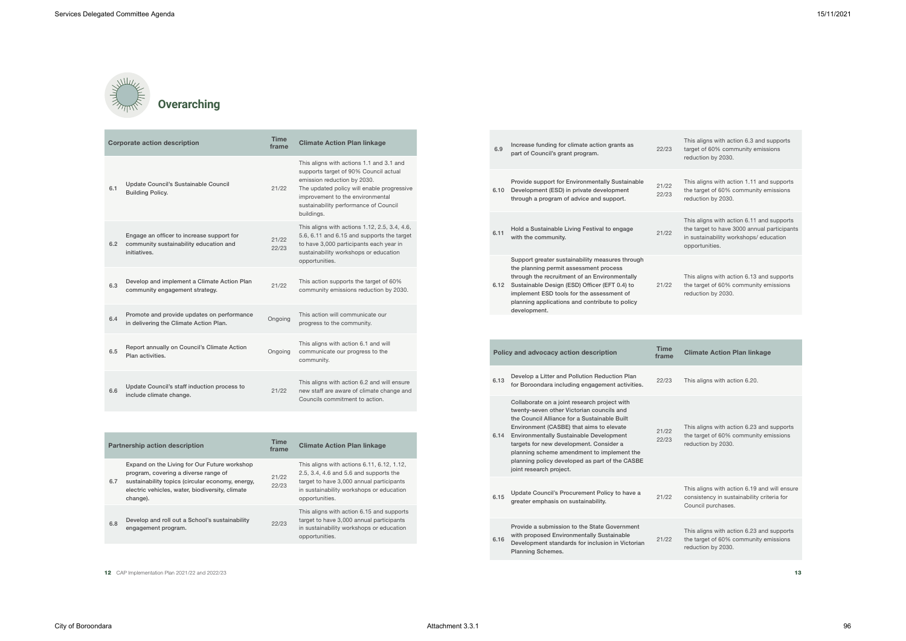

| <b>Corporate action description</b> |                                                                                                     | <b>Time</b><br>frame | <b>Climate Action Plan linkage</b>                                                                                                                                                                                                                        |
|-------------------------------------|-----------------------------------------------------------------------------------------------------|----------------------|-----------------------------------------------------------------------------------------------------------------------------------------------------------------------------------------------------------------------------------------------------------|
| 6.1                                 | Update Council's Sustainable Council<br><b>Building Policy.</b>                                     | 21/22                | This aligns with actions 1.1 and 3.1 and<br>supports target of 90% Council actual<br>emission reduction by 2030.<br>The updated policy will enable progressive<br>improvement to the environmental<br>sustainability performance of Council<br>buildings. |
| 6.2                                 | Engage an officer to increase support for<br>community sustainability education and<br>initiatives. | 21/22<br>22/23       | This aligns with actions 1.12, 2.5, 3.4, 4.6,<br>5.6, 6.11 and 6.15 and supports the target<br>to have 3,000 participants each year in<br>sustainability workshops or education<br>opportunities.                                                         |
| 6.3                                 | Develop and implement a Climate Action Plan<br>community engagement strategy.                       | 21/22                | This action supports the target of 60%<br>community emissions reduction by 2030.                                                                                                                                                                          |
| 6.4                                 | Promote and provide updates on performance<br>in delivering the Climate Action Plan.                | Ongoing              | This action will communicate our<br>progress to the community.                                                                                                                                                                                            |
| 6.5                                 | Report annually on Council's Climate Action<br>Plan activities.                                     | Ongoing              | This aligns with action 6.1 and will<br>communicate our progress to the<br>community.                                                                                                                                                                     |
| 6.6                                 | Update Council's staff induction process to<br>include climate change.                              | 21/22                | This aligns with action 6.2 and will ensure<br>new staff are aware of climate change and<br>Councils commitment to action.                                                                                                                                |

|     | <b>Partnership action description</b>                                                                                                                                                                   | <b>Time</b><br>frame | <b>Climate Action Plan linkage</b>                                                                                                                                                             |
|-----|---------------------------------------------------------------------------------------------------------------------------------------------------------------------------------------------------------|----------------------|------------------------------------------------------------------------------------------------------------------------------------------------------------------------------------------------|
| 6.7 | Expand on the Living for Our Future workshop<br>program, covering a diverse range of<br>sustainability topics (circular economy, energy,<br>electric vehicles, water, biodiversity, climate<br>change). | 21/22<br>22/23       | This aligns with actions 6.11, 6.12, 1.12,<br>2.5, 3.4, 4.6 and 5.6 and supports the<br>target to have 3,000 annual participants<br>in sustainability workshops or education<br>opportunities. |
| 6.8 | Develop and roll out a School's sustainability<br>engagement program.                                                                                                                                   | 22/23                | This aligns with action 6.15 and supports<br>target to have 3,000 annual participants<br>in sustainability workshops or education<br>opportunities.                                            |

12 CAP Implementation Plan  $2021/22$  and  $2022/23$ 

This aligns with action 6.23 and supports the target of 60% community emissions reduction by 2030.

This aligns with action 6.19 and will ensure consistency in sustainability criteria for Council purchases.

| 6.9  | Increase funding for climate action grants as<br>part of Council's grant program.                                                                                                                                                                                                                                                                                                                             | 22/23          |
|------|---------------------------------------------------------------------------------------------------------------------------------------------------------------------------------------------------------------------------------------------------------------------------------------------------------------------------------------------------------------------------------------------------------------|----------------|
| 6.10 | Provide support for Environmentally Sustainable<br>Development (ESD) in private development<br>through a program of advice and support.                                                                                                                                                                                                                                                                       | 21/22<br>22/23 |
| 6.11 | Hold a Sustainable Living Festival to engage<br>with the community.                                                                                                                                                                                                                                                                                                                                           | 21/22          |
| 6.12 | Support greater sustainability measures through<br>the planning permit assessment process<br>through the recruitment of an Environmentally<br>Sustainable Design (ESD) Officer (EFT 0.4) to<br>implement ESD tools for the assessment of<br>planning applications and contribute to policy<br>development.                                                                                                    | 21/22          |
|      |                                                                                                                                                                                                                                                                                                                                                                                                               |                |
|      | Policy and advocacy action description                                                                                                                                                                                                                                                                                                                                                                        | <b>Time</b>    |
|      |                                                                                                                                                                                                                                                                                                                                                                                                               | frame          |
| 6.13 | Develop a Litter and Pollution Reduction Plan<br>for Boroondara including engagement activities.                                                                                                                                                                                                                                                                                                              | 22/23          |
| 6.14 | Collaborate on a joint research project with<br>twenty-seven other Victorian councils and<br>the Council Alliance for a Sustainable Built<br>Environment (CASBE) that aims to elevate<br><b>Environmentally Sustainable Development</b><br>targets for new development. Consider a<br>planning scheme amendment to implement the<br>planning policy developed as part of the CASBE<br>joint research project. | 21/22<br>22/23 |
| 6.15 | Update Council's Procurement Policy to have a<br>greater emphasis on sustainability.                                                                                                                                                                                                                                                                                                                          | 21/22          |
| 6.16 | Provide a submission to the State Government<br>with proposed Environmentally Sustainable<br>Development standards for inclusion in Victorian<br><b>Planning Schemes.</b>                                                                                                                                                                                                                                     | 21/22          |

This aligns with action 6.23 and supports the target of 60% community emissions reduction by 2030.

This aligns with action 6.3 and supports target of 60% community emissions reduction by 2030.

This aligns with action 1.11 and supports the target of 60% community emissions reduction by 2030.

This aligns with action 6.11 and supports the target to have 3000 annual participants in sustainability workshops/ education opportunities.

This aligns with action 6.13 and supports the target of 60% community emissions reduction by 2030.

### **Climate Action Plan linkage**

This aligns with action 6.20.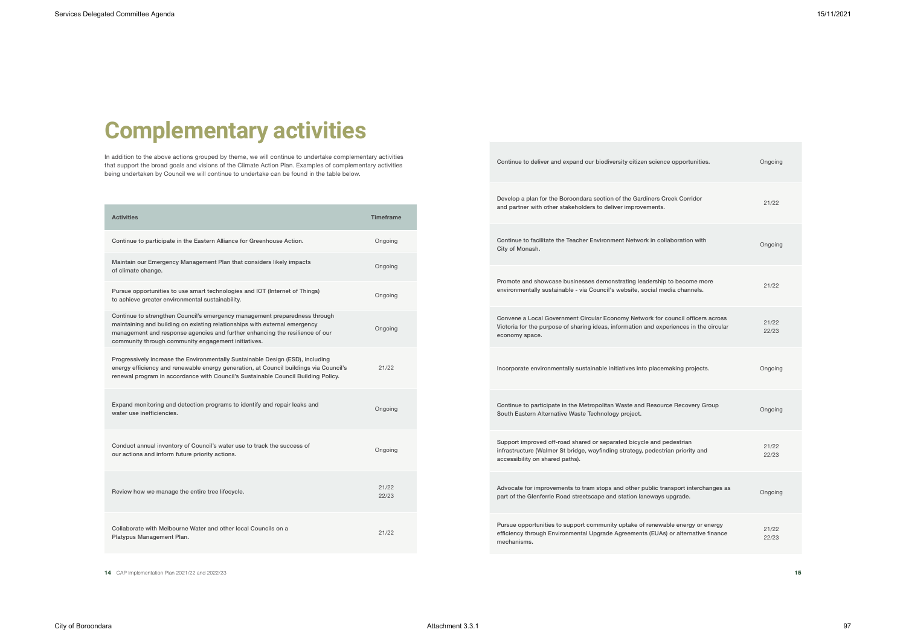# **Complementary activities**

In addition to the above actions grouped by theme, we will continue to undertake complementary activities that support the broad goals and visions of the Climate Action Plan. Examples of complementary activities being undertaken by Council we will continue to undertake can be found in the table below.

| <b>Activities</b>                                                                                                                                                                                                                                                                               | <b>Timeframe</b> |
|-------------------------------------------------------------------------------------------------------------------------------------------------------------------------------------------------------------------------------------------------------------------------------------------------|------------------|
| Continue to participate in the Eastern Alliance for Greenhouse Action.                                                                                                                                                                                                                          | Ongoing          |
| Maintain our Emergency Management Plan that considers likely impacts<br>of climate change.                                                                                                                                                                                                      | Ongoing          |
| Pursue opportunities to use smart technologies and IOT (Internet of Things)<br>to achieve greater environmental sustainability.                                                                                                                                                                 | Ongoing          |
| Continue to strengthen Council's emergency management preparedness through<br>maintaining and building on existing relationships with external emergency<br>management and response agencies and further enhancing the resilience of our<br>community through community engagement initiatives. | Ongoing          |
| Progressively increase the Environmentally Sustainable Design (ESD), including<br>energy efficiency and renewable energy generation, at Council buildings via Council's<br>renewal program in accordance with Council's Sustainable Council Building Policy.                                    | 21/22            |
| Expand monitoring and detection programs to identify and repair leaks and<br>water use inefficiencies.                                                                                                                                                                                          | Ongoing          |
| Conduct annual inventory of Council's water use to track the success of<br>our actions and inform future priority actions.                                                                                                                                                                      | Ongoing          |
| Review how we manage the entire tree lifecycle.                                                                                                                                                                                                                                                 | 21/22<br>22/23   |
| Collaborate with Melbourne Water and other local Councils on a<br>Platypus Management Plan.                                                                                                                                                                                                     | 21/22            |

14 CAP Implementation Plan 2021/22 and 2022/23 15

| Continue to deliver and expand our biodiversity citizen science opportunities.                                                                                                              | Ongoing        |
|---------------------------------------------------------------------------------------------------------------------------------------------------------------------------------------------|----------------|
| Develop a plan for the Boroondara section of the Gardiners Creek Corridor<br>and partner with other stakeholders to deliver improvements.                                                   | 21/22          |
| Continue to facilitate the Teacher Environment Network in collaboration with<br>City of Monash.                                                                                             | Ongoing        |
| Promote and showcase businesses demonstrating leadership to become more<br>environmentally sustainable - via Council's website, social media channels.                                      | 21/22          |
| Convene a Local Government Circular Economy Network for council officers across<br>Victoria for the purpose of sharing ideas, information and experiences in the circular<br>economy space. | 21/22<br>22/23 |
| Incorporate environmentally sustainable initiatives into placemaking projects.                                                                                                              | Ongoing        |
| Continue to participate in the Metropolitan Waste and Resource Recovery Group<br>South Eastern Alternative Waste Technology project.                                                        | Ongoing        |
| Support improved off-road shared or separated bicycle and pedestrian<br>infrastructure (Walmer St bridge, wayfinding strategy, pedestrian priority and<br>accessibility on shared paths).   | 21/22<br>22/23 |
| Advocate for improvements to tram stops and other public transport interchanges as<br>part of the Glenferrie Road streetscape and station laneways upgrade.                                 | Ongoing        |
| Pursue opportunities to support community uptake of renewable energy or energy<br>efficiency through Environmental Upgrade Agreements (EUAs) or alternative finance<br>mechanisms.          | 21/22<br>22/23 |